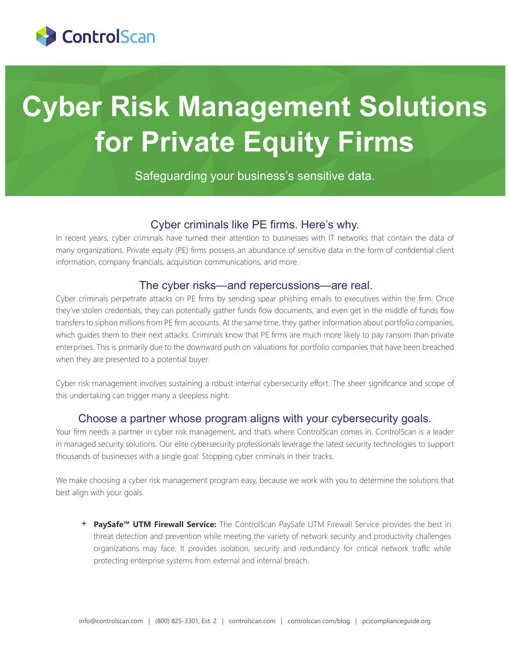

# **Cyber Risk Management Solutions for Private Equity Firms**

Safeguarding your business's sensitive data.

### Cyber criminals like PE firms. Here's why.

In recent years, cyber criminals have turned their attention to businesses with IT networks that contain the data of many organizations. Private equity (PE) firms possess an abundance of sensitive data in the form of confidential client information, company financials, acquisition communications, and more.

#### The cyber risks—and repercussions—are real.

Cyber criminals perpetrate attacks on PE firms by sending spear phishing emails to executives within the firm. Once they've stolen credentials, they can potentially gather funds flow documents, and even get in the middle of funds flow transfers to siphon millions from PE firm accounts. At the same time, they gather information about portfolio companies, which guides them to their next attacks. Criminals know that PE firms are much more likely to pay ransom than private enterprises. This is primarily due to the downward push on valuations for portfolio companies that have been breached when they are presented to a potential buyer.

Cyber risk management involves sustaining a robust internal cybersecurity effort. The sheer significance and scope of this undertaking can trigger many a sleepless night.

### Choose a partner whose program aligns with your cybersecurity goals.

Your firm needs a partner in cyber risk management, and that's where ControlScan comes in. ControlScan is a leader in managed security solutions. Our elite cybersecurity professionals leverage the latest security technologies to support thousands of businesses with a single goal: Stopping cyber criminals in their tracks.

We make choosing a cyber risk management program easy, because we work with you to determine the solutions that best align with your goals.

**+ PaySafe™ UTM Firewall Service:** The ControlScan PaySafe UTM Firewall Service provides the best in threat detection and prevention while meeting the variety of network security and productivity challenges organizations may face. It provides isolation, security and redundancy for critical network traffic while protecting enterprise systems from external and internal breach.